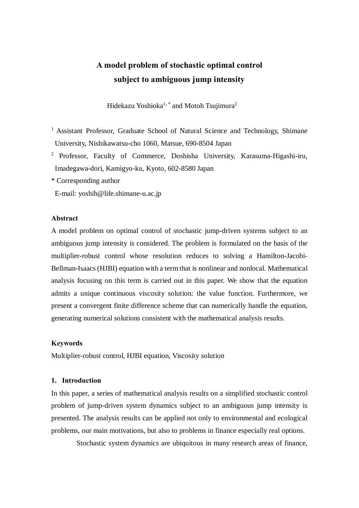# **A model problem of stochastic optimal control subject to ambiguous jump intensity**

Hidekazu Yoshioka<sup>1, \*</sup> and Motoh Tsujimura<sup>2</sup>

- <sup>1</sup> Assistant Professor, Graduate School of Natural Science and Technology, Shimane University, Nishikawatsu-cho 1060, Matsue, 690-8504 Japan
- <sup>2</sup> Professor, Faculty of Commerce, Doshisha University, Karasuma-Higashi-iru, Imadegawa-dori, Kamigyo-ku, Kyoto, 602-8580 Japan

\* Corresponding author

E-mail: yoshih@life.shimane-u.ac.jp

#### **Abstract**

A model problem on optimal control of stochastic jump-driven systems subject to an ambiguous jump intensity is considered. The problem is formulated on the basis of the multiplier-robust control whose resolution reduces to solving a Hamilton-Jacobi-Bellman-Isaacs (HJBI) equation with a term that is nonlinear and nonlocal. Mathematical analysis focusing on this term is carried out in this paper. We show that the equation admits a unique continuous viscosity solution: the value function. Furthermore, we present a convergent finite difference scheme that can numerically handle the equation, generating numerical solutions consistent with the mathematical analysis results.

#### **Keywords**

Multiplier-robust control, HJBI equation, Viscosity solution

# **1. Introduction**

In this paper, a series of mathematical analysis results on a simplified stochastic control problem of jump-driven system dynamics subject to an ambiguous jump intensity is presented. The analysis results can be applied not only to environmental and ecological problems, our main motivations, but also to problems in finance especially real options.

Stochastic system dynamics are ubiquitous in many research areas of finance,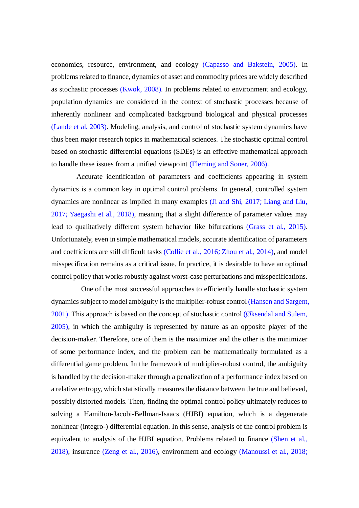economics, resource, environment, and ecology (Capasso and Bakstein, 2005). In problems related to finance, dynamics of asset and commodity prices are widely described as stochastic processes (Kwok, 2008). In problems related to environment and ecology, population dynamics are considered in the context of stochastic processes because of inherently nonlinear and complicated background biological and physical processes (Lande et al. 2003). Modeling, analysis, and control of stochastic system dynamics have thus been major research topics in mathematical sciences. The stochastic optimal control based on stochastic differential equations (SDEs) is an effective mathematical approach to handle these issues from a unified viewpoint (Fleming and Soner, 2006).

Accurate identification of parameters and coefficients appearing in system dynamics is a common key in optimal control problems. In general, controlled system dynamics are nonlinear as implied in many examples  $(Ji \text{ and } Shi, 2017)$  – Liang and Liu,  $2017$ =Yaegashi et al.,  $2018$ ), meaning that a slight difference of parameter values may lead to qualitatively different system behavior like bifurcations (Grass et al., 2015). Unfortunately, even in simple mathematical models, accurate identification of parameters and coefficients are still difficult tasks (Collie et al., 2016=Zhou et al., 2014), and model misspecification remains as a critical issue. In practice, it is desirable to have an optimal control policy that works robustly against worst-case perturbations and misspecifications.

One of the most successful approaches to efficiently handle stochastic system dynamics subject to model ambiguity is the multiplier-robust control (Hansen and Sargent,  $2001$ ). This approach is based on the concept of stochastic control ( $\emptyset$ ksendal and Sulem, 2005), in which the ambiguity is represented by nature as an opposite player of the decision-maker. Therefore, one of them is the maximizer and the other is the minimizer of some performance index, and the problem can be mathematically formulated as a differential game problem. In the framework of multiplier-robust control, the ambiguity is handled by the decision-maker through a penalization of a performance index based on a relative entropy, which statistically measures the distance between the true and believed, possibly distorted models. Then, finding the optimal control policy ultimately reduces to solving a Hamilton-Jacobi-Bellman-Isaacs (HJBI) equation, which is a degenerate nonlinear (integro-) differential equation. In this sense, analysis of the control problem is equivalent to analysis of the HJBI equation. Problems related to finance (Shen et al., 2018), insurance (Zeng et al., 2016), environment and ecology (Manoussi et al.,  $2018=$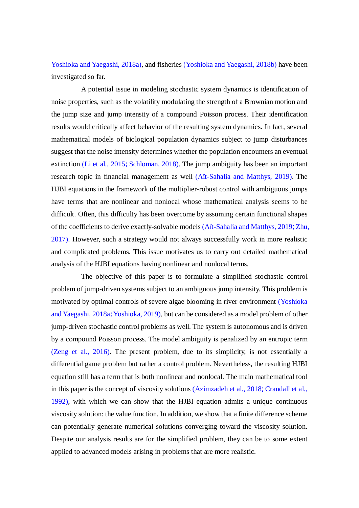Yoshioka and Yaegashi, 2018a), and fisheries (Yoshioka and Yaegashi, 2018b) have been investigated so far.

A potential issue in modeling stochastic system dynamics is identification of noise properties, such as the volatility modulating the strength of a Brownian motion and the jump size and jump intensity of a compound Poisson process. Their identification results would critically affect behavior of the resulting system dynamics. In fact, several mathematical models of biological population dynamics subject to jump disturbances suggest that the noise intensity determines whether the population encounters an eventual extinction (Li et al., 2015=Schloman, 2018). The jump ambiguity has been an important research topic in financial management as well (Aït-Sahalia and Matthys, 2019). The HJBI equations in the framework of the multiplier-robust control with ambiguous jumps have terms that are nonlinear and nonlocal whose mathematical analysis seems to be difficult. Often, this difficulty has been overcome by assuming certain functional shapes of the coefficients to derive exactly-solvable models (Aït-Sahalia and Matthys, 2019–Zhu, 2017). However, such a strategy would not always successfully work in more realistic and complicated problems. This issue motivates us to carry out detailed mathematical analysis of the HJBI equations having nonlinear and nonlocal terms.

The objective of this paper is to formulate a simplified stochastic control problem of jump-driven systems subject to an ambiguous jump intensity. This problem is motivated by optimal controls of severe algae blooming in river environment (Yoshioka and Yaegashi, 2018a=Yoshioka, 2019), but can be considered as a model problem of other jump-driven stochastic control problems as well. The system is autonomous and is driven by a compound Poisson process. The model ambiguity is penalized by an entropic term (Zeng et al., 2016). The present problem, due to its simplicity, is not essentially a differential game problem but rather a control problem. Nevertheless, the resulting HJBI equation still has a term that is both nonlinear and nonlocal. The main mathematical tool in this paper is the concept of viscosity solutions (Azimzadeh et al.,  $2018$ =Crandall et al., 1992), with which we can show that the HJBI equation admits a unique continuous viscosity solution: the value function. In addition, we show that a finite difference scheme can potentially generate numerical solutions converging toward the viscosity solution. Despite our analysis results are for the simplified problem, they can be to some extent applied to advanced models arising in problems that are more realistic.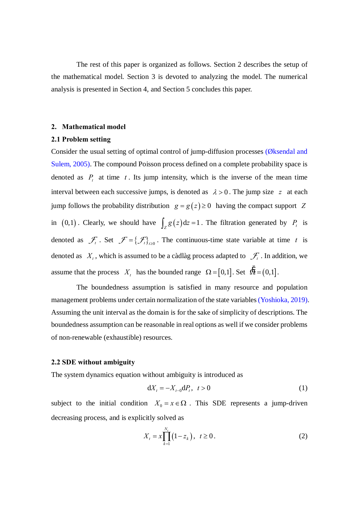The rest of this paper is organized as follows. Section 2 describes the setup of the mathematical model. Section 3 is devoted to analyzing the model. The numerical analysis is presented in Section 4, and Section 5 concludes this paper.

#### **2. Mathematical model**

#### **2.1 Problem setting**

Consider the usual setting of optimal control of jump-diffusion processes (Øksendal and Sulem, 2005). The compound Poisson process defined on a complete probability space is denoted as  $P_t$  at time  $t$ . Its jump intensity, which is the inverse of the mean time interval between each successive jumps, is denoted as  $\lambda > 0$ . The jump size *z* at each jump follows the probability distribution  $g = g(z) \ge 0$  having the compact support Z in  $(0,1)$ . Clearly, we should have  $\int_{Z} g(z) dz = 1$ . The filtration generated by  $P_t$  is denoted as  $\mathcal{F}_t$ . Set  $\mathcal{F} = {\{\mathcal{F}_t\}}_{t\ge0}$ . The continuous-time state variable at time *t* is denoted as  $X_t$ , which is assumed to be a càdlàg process adapted to  $\mathcal{F}_t$ . In addition, we assume that the process  $X_t$  has the bounded range  $\Omega = [0,1]$ . Set  $\acute{Q} = (0,1]$ .

The boundedness assumption is satisfied in many resource and population management problems under certain normalization of the state variables (Yoshioka, 2019). Assuming the unit interval as the domain is for the sake of simplicity of descriptions. The boundedness assumption can be reasonable in real options as well if we consider problems of non-renewable (exhaustible) resources.

#### **2.2 SDE without ambiguity**

The system dynamics equation without ambiguity is introduced as

$$
dX_t = -X_{t-0}dP_t, \ t > 0 \tag{1}
$$

subject to the initial condition  $X_0 = x \in \Omega$ . This SDE represents a jump-driven decreasing process, and is explicitly solved as

$$
X_t = x \prod_{k=1}^{N_t} (1 - z_k), \quad t \ge 0.
$$
 (2)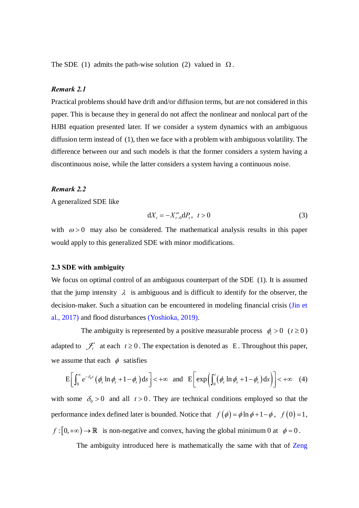The SDE (1) admits the path-wise solution (2) valued in  $\Omega$ .

#### *Remark 2.1*

Practical problems should have drift and/or diffusion terms, but are not considered in this paper. This is because they in general do not affect the nonlinear and nonlocal part of the HJBI equation presented later. If we consider a system dynamics with an ambiguous diffusion term instead of (1), then we face with a problem with ambiguous volatility. The difference between our and such models is that the former considers a system having a discontinuous noise, while the latter considers a system having a continuous noise.

#### *Remark 2.2*

A generalized SDE like

$$
dX_t = -X_{t-0}^{\omega} dP_t, \ \ t > 0 \tag{3}
$$

with  $\omega > 0$  may also be considered. The mathematical analysis results in this paper would apply to this generalized SDE with minor modifications.

#### **2.3 SDE with ambiguity**

We focus on optimal control of an ambiguous counterpart of the SDE (1). It is assumed that the jump intensity  $\lambda$  is ambiguous and is difficult to identify for the observer, the decision-maker. Such a situation can be encountered in modeling financial crisis (Jin et al., 2017) and flood disturbances (Yoshioka, 2019).

The ambiguity is represented by a positive measurable process  $\phi_i > 0$  ( $t \ge 0$ ) adapted to  $\mathcal{F}_t$  at each  $t \ge 0$ . The expectation is denoted as E. Throughout this paper, we assume that each  $\phi$  satisfies

$$
E\bigg[\int_0^\infty e^{-\delta_0 s}\big(\phi_s \ln \phi_s + 1 - \phi_s\big) ds\bigg] < +\infty \quad \text{and} \quad E\bigg[\exp\bigg(\int_0^t \big(\phi_s \ln \phi_s + 1 - \phi_s\big) ds\bigg)\bigg] < +\infty \quad (4)
$$

with some  $\delta_0 > 0$  and all  $t > 0$ . They are technical conditions employed so that the performance index defined later is bounded. Notice that  $f(\phi) = \phi \ln \phi + 1 - \phi$ ,  $f(0) = 1$ ,  $f: [0, +\infty) \to \mathbb{R}$  is non-negative and convex, having the global minimum 0 at  $\phi = 0$ .

The ambiguity introduced here is mathematically the same with that of Zeng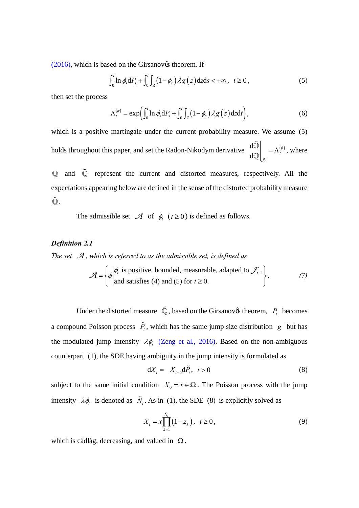$(2016)$ , which is based on the Girsanov $\alpha$  theorem. If

$$
\int_0^t \ln \phi_s \, dP_s + \int_0^t \int_Z \left(1 - \phi_s\right) \lambda g\left(z\right) \, dz \, ds < +\infty \,, \quad t \ge 0 \,, \tag{5}
$$

then set the process

$$
\Lambda_t^{(\phi)} = \exp\left(\int_0^t \ln \phi_s \, dP_s + \int_0^t \int_Z \left(1 - \phi_s\right) \lambda g\left(z\right) \, dz \, dt\right),\tag{6}
$$

which is a positive martingale under the current probability measure. We assume (5) holds throughout this paper, and set the Radon-Nikodym derivative  $\frac{d\hat{Q}}{dQ}\bigg|_{\mathcal{F}} = \Lambda_t^{(\phi)}$ , where

Q and Q represent the current and distorted measures, respectively. All the expectations appearing below are defined in the sense of the distorted probability measure  $\tilde{\mathbb{O}}$ .

The admissible set  $\mathcal A$  of  $\phi_t$   $(t \ge 0)$  is defined as follows.

# **Definition 2.1**

The set  $\mathcal A$ , which is referred to as the admissible set, is defined as

$$
\mathcal{A} = \left\{ \phi \middle| \begin{aligned} \phi_t & \text{is positive, bounded, measurable, adapted to } \mathcal{F}_t, \\ \text{and satisfies (4) and (5) for } t \ge 0. \end{aligned} \right\}.
$$
 (7)

Under the distorted measure  $\tilde{Q}$ , based on the Girsanov $\alpha$  theorem,  $P_t$  becomes a compound Poisson process  $\tilde{P}_t$ , which has the same jump size distribution g but has the modulated jump intensity  $\lambda \phi$ . (Zeng et al., 2016). Based on the non-ambiguous counterpart (1), the SDE having ambiguity in the jump intensity is formulated as

$$
\mathrm{d}X_t = -X_{t-0}\mathrm{d}\tilde{P}_t, \quad t > 0\tag{8}
$$

subject to the same initial condition  $X_0 = x \in \Omega$ . The Poisson process with the jump intensity  $\lambda \phi_t$  is denoted as  $\tilde{N}_t$ . As in (1), the SDE (8) is explicitly solved as

$$
X_t = x \prod_{k=1}^{\tilde{N}_t} (1 - z_k), \ \ t \ge 0,
$$
\n(9)

which is càdlàg, decreasing, and valued in  $\Omega$ .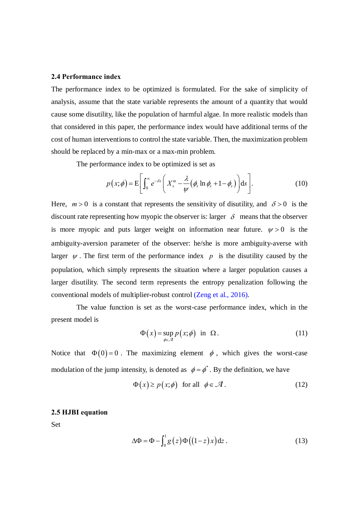# **2.4 Performance index**

The performance index to be optimized is formulated. For the sake of simplicity of analysis, assume that the state variable represents the amount of a quantity that would cause some disutility, like the population of harmful algae. In more realistic models than that considered in this paper, the performance index would have additional terms of the cost of human interventions to control the state variable. Then, the maximization problem should be replaced by a min-max or a max-min problem.

The performance index to be optimized is set as

$$
p(x; \phi) = \mathbf{E}\bigg[\int_0^\infty e^{-\delta s} \bigg(X_s^m - \frac{\lambda}{\psi}(\phi_s \ln \phi_s + 1 - \phi_s)\bigg) ds\bigg].\tag{10}
$$

Here,  $m > 0$  is a constant that represents the sensitivity of disutility, and  $\delta > 0$  is the discount rate representing how myopic the observer is: larger  $\delta$  means that the observer is more myopic and puts larger weight on information near future.  $\psi > 0$  is the ambiguity-aversion parameter of the observer: he/she is more ambiguity-averse with larger  $\psi$ . The first term of the performance index  $p$  is the disutility caused by the population, which simply represents the situation where a larger population causes a larger disutility. The second term represents the entropy penalization following the conventional models of multiplier-robust control (Zeng et al., 2016).

The value function is set as the worst-case performance index, which in the present model is

$$
\Phi(x) = \sup_{\phi \in \mathcal{A}} p(x; \phi) \quad \text{in} \quad \Omega \,.
$$
 (11)

Notice that  $\Phi(0) = 0$ . The maximizing element  $\phi$ , which gives the worst-case modulation of the jump intensity, is denoted as  $\phi = \phi^*$ . By the definition, we have

$$
\Phi(x) \ge p(x; \phi) \quad \text{for all} \quad \phi \in \mathcal{A} \,. \tag{12}
$$

# **2.5 HJBI equation**

Set

$$
\Delta \Phi = \Phi - \int_0^1 g(z) \Phi \big( (1-z) x \big) dz . \tag{13}
$$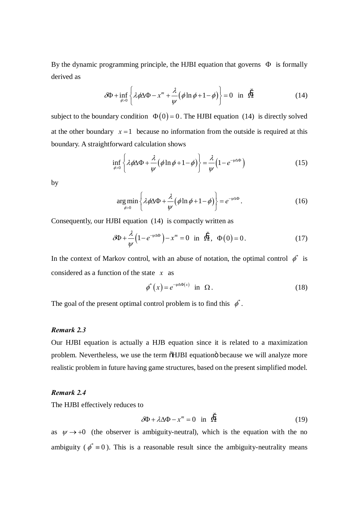By the dynamic programming principle, the HJBI equation that governs  $\Phi$  is formally derived as

$$
\delta \Phi + \inf_{\phi > 0} \left\{ \lambda \phi \Delta \Phi - x^m + \frac{\lambda}{\psi} \left( \phi \ln \phi + 1 - \phi \right) \right\} = 0 \quad \text{in} \quad \tilde{\Omega} \tag{14}
$$

subject to the boundary condition  $\Phi(0) = 0$ . The HJBI equation (14) is directly solved at the other boundary  $x = 1$  because no information from the outside is required at this boundary. A straightforward calculation shows

$$
\inf_{\phi>0} \left\{ \lambda \phi \Delta \Phi + \frac{\lambda}{\psi} (\phi \ln \phi + 1 - \phi) \right\} = \frac{\lambda}{\psi} \left( 1 - e^{-\psi \Delta \Phi} \right) \tag{15}
$$

by

$$
\underset{\phi>0}{\arg\min} \left\{ \lambda \phi \Delta \Phi + \frac{\lambda}{\psi} \left( \phi \ln \phi + 1 - \phi \right) \right\} = e^{-\psi \Delta \Phi}.
$$
 (16)

Consequently, our HJBI equation (14) is compactly written as

$$
\delta \Phi + \frac{\lambda}{\psi} \left( 1 - e^{-\psi \Delta \Phi} \right) - x^m = 0 \quad \text{in} \quad \dot{\Omega}, \quad \Phi(0) = 0. \tag{17}
$$

In the context of Markov control, with an abuse of notation, the optimal control  $\phi^*$  is considered as a function of the state *x* as

$$
\phi^*(x) = e^{-\psi \Delta \Phi(x)} \quad \text{in} \quad \Omega \,. \tag{18}
$$

The goal of the present optimal control problem is to find this  $\phi^*$ .

# *Remark 2.3*

Our HJBI equation is actually a HJB equation since it is related to a maximization problem. Nevertheless, we use the term  $\delta$ HJBI equation $\ddot{o}$  because we will analyze more realistic problem in future having game structures, based on the present simplified model.

# *Remark 2.4*

The HJBI effectively reduces to

$$
\delta \Phi + \lambda \Delta \Phi - x^m = 0 \quad \text{in} \quad \dot{\Omega} \tag{19}
$$

as  $\psi \rightarrow 0$  (the observer is ambiguity-neutral), which is the equation with the no ambiguity ( $\phi^* \equiv 0$ ). This is a reasonable result since the ambiguity-neutrality means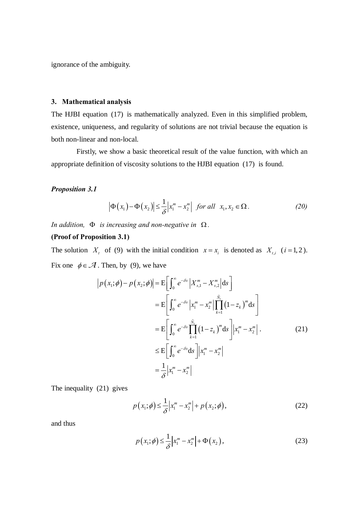ignorance of the ambiguity.

#### 3. Mathematical analysis

The HJBI equation (17) is mathematically analyzed. Even in this simplified problem, existence, uniqueness, and regularity of solutions are not trivial because the equation is both non-linear and non-local.

Firstly, we show a basic theoretical result of the value function, with which an appropriate definition of viscosity solutions to the HJBI equation (17) is found.

# **Proposition 3.1**

$$
\left|\Phi\left(x_1\right)-\Phi\left(x_2\right)\right| \leq \frac{1}{\delta} \left|x_1^m - x_2^m\right| \text{ for all } x_1, x_2 \in \Omega. \tag{20}
$$

In addition,  $\Phi$  is increasing and non-negative in  $\Omega$ .

#### (Proof of Proposition 3.1)

The solution  $X_i$  of (9) with the initial condition  $x = x_i$  is denoted as  $X_{i,i}$  (*i* = 1, 2). Fix one  $\phi \in \mathcal{A}$ . Then, by (9), we have

$$
|p(x_1; \phi) - p(x_2; \phi)| = \mathbb{E}\bigg[\int_0^\infty e^{-\delta s} |X_{s,1}^m - X_{s,2}^m| ds\bigg]
$$
  
\n
$$
= \mathbb{E}\bigg[\int_0^\infty e^{-\delta s} |x_1^m - x_2^m| \prod_{k=1}^{\tilde{N}_t} (1 - z_k)^m ds\bigg]
$$
  
\n
$$
= \mathbb{E}\bigg[\int_0^\infty e^{-\delta s} \prod_{k=1}^{\tilde{N}_t} (1 - z_k)^m ds \bigg] |x_1^m - x_2^m|.
$$
  
\n
$$
\leq \mathbb{E}\bigg[\int_0^\infty e^{-\delta s} ds\bigg] |x_1^m - x_2^m|
$$
  
\n
$$
= \frac{1}{\delta} |x_1^m - x_2^m|
$$
  
\n(21)

The inequality  $(21)$  gives

$$
p(x_1; \phi) \le \frac{1}{\delta} |x_1^m - x_2^m| + p(x_2; \phi), \qquad (22)
$$

and thus

$$
p(x_1; \phi) \le \frac{1}{\delta} \left| x_1^m - x_2^m \right| + \Phi(x_2), \tag{23}
$$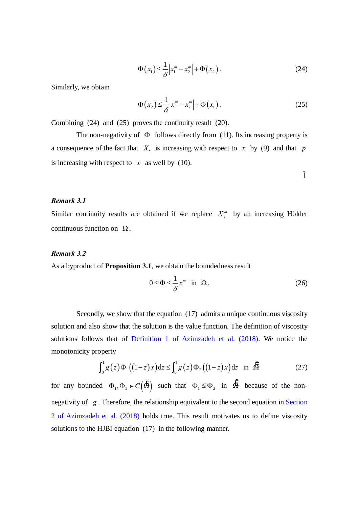$$
\Phi\left(x_1\right) \leq \frac{1}{\delta} \left| x_1^m - x_2^m \right| + \Phi\left(x_2\right). \tag{24}
$$

Similarly, we obtain

$$
\Phi(x_2) \le \frac{1}{\delta} \left| x_1^m - x_2^m \right| + \Phi(x_1). \tag{25}
$$

Combining (24) and (25) proves the continuity result (20).

The non-negativity of  $\Phi$  follows directly from (11). Its increasing property is a consequence of the fact that  $X_t$  is increasing with respect to  $x$  by (9) and that  $p$ is increasing with respect to  $x$  as well by (10).

#### *Remark 3.1*

Similar continuity results are obtained if we replace  $X_{s}^{m}$  by an increasing Hölder continuous function on  $\Omega$ .

#### *Remark 3.2*

As a byproduct of **Proposition 3.1**, we obtain the boundedness result

$$
0 \le \Phi \le \frac{1}{\delta} x^m \quad \text{in} \quad \Omega \,. \tag{26}
$$

Secondly, we show that the equation (17) admits a unique continuous viscosity solution and also show that the solution is the value function. The definition of viscosity solutions follows that of Definition 1 of Azimzadeh et al. (2018). We notice the monotonicity property

$$
\int_0^1 g(z) \Phi_1 \big( (1-z)x \big) dz \le \int_0^1 g(z) \Phi_2 \big( (1-z)x \big) dz \quad \text{in} \quad \hat{\Omega} \tag{27}
$$

for any bounded  $\Phi_1, \Phi_2 \in C(\tilde{\Omega})$  such that  $\Phi_1 \leq \Phi_2$  in  $\tilde{\Omega}$  because of the nonnegativity of *g* . Therefore, the relationship equivalent to the second equation in Section 2 of Azimzadeh et al. (2018) holds true. This result motivates us to define viscosity solutions to the HJBI equation (17) in the following manner.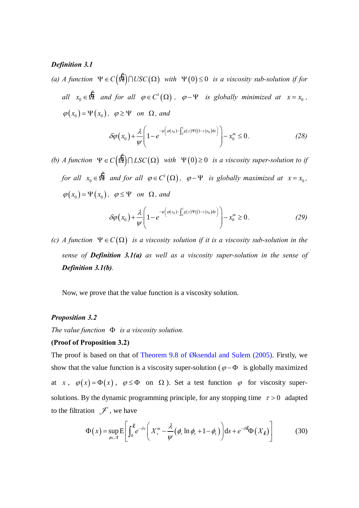#### **Definition 3.1**

(a) A function  $\Psi \in C(\mathfrak{O}) \cap USC(\Omega)$  with  $\Psi(0) \leq 0$  is a viscosity sub-solution if for all  $x_0 \in \Omega$  and for all  $\varphi \in C^1(\Omega)$ ,  $\varphi - \Psi$  is globally minimized at  $x = x_0$ ,  $\varphi(x_0) = \Psi(x_0)$ ,  $\varphi \ge \Psi$  on  $\Omega$ , and

$$
\delta \varphi(x_0) + \frac{\lambda}{\psi} \left( 1 - e^{-\psi \left( \varphi(x_0) - \int_0^1 g(z) \Psi((1-z)x_0) dz \right)} \right) - x_0^m \le 0. \tag{28}
$$

(b) A function  $\Psi \in C(\mathfrak{S}) \cap LSC(\Omega)$  with  $\Psi(0) \geq 0$  is a viscosity super-solution to if for all  $x_0 \in \tilde{\Omega}$  and for all  $\varphi \in C^1(\Omega)$ ,  $\varphi - \Psi$  is globally maximized at  $x = x_0$ ,  $\varphi(x_0) = \Psi(x_0)$ ,  $\varphi \le \Psi$  on  $\Omega$ , and

$$
\delta \varphi(x_0) + \frac{\lambda}{\psi} \left( 1 - e^{-\psi \left( \varphi(x_0) - \int_0^1 g(z) \Psi((1-z)x_0) dz \right)} \right) - x_0^m \ge 0. \tag{29}
$$

(c) A function  $\Psi \in C(\Omega)$  is a viscosity solution if it is a viscosity sub-solution in the sense of **Definition 3.1(a)** as well as a viscosity super-solution in the sense of Definition 3.1(b).

Now, we prove that the value function is a viscosity solution.

#### **Proposition 3.2**

The value function  $\Phi$  is a viscosity solution.

#### (Proof of Proposition 3.2)

The proof is based on that of Theorem 9.8 of Øksendal and Sulem (2005). Firstly, we show that the value function is a viscosity super-solution ( $\varphi - \Phi$  is globally maximized at x,  $\varphi(x) = \Phi(x)$ ,  $\varphi \le \Phi$  on  $\Omega$ ). Set a test function  $\varphi$  for viscosity supersolutions. By the dynamic programming principle, for any stopping time  $\tau > 0$  adapted to the filtration  $\mathcal F$ , we have

$$
\Phi(x) = \sup_{\phi \in \mathcal{A}} \mathbb{E} \left[ \int_0^x e^{-\delta s} \left( X_s^m - \frac{\lambda}{\psi} \left( \phi_s \ln \phi_s + 1 - \phi_s \right) \right) \mathrm{d}s + e^{-\delta t} \Phi(X_t) \right] \tag{30}
$$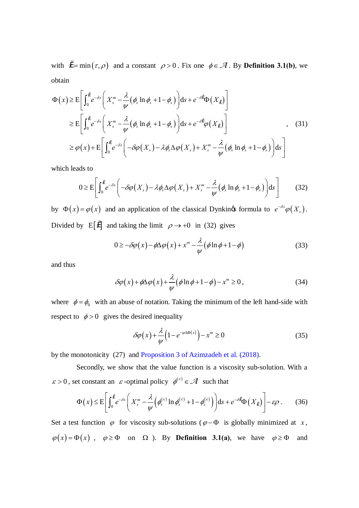with  $\tilde{r} = \min(r, \rho)$  and a constant  $\rho > 0$ . Fix one  $\phi \in \mathcal{A}$ . By **Definition 3.1(b)**, we obtain

$$
\Phi(x) \geq E \left[ \int_0^{\tilde{r}} e^{-\delta s} \left( X_s^m - \frac{\lambda}{\psi} (\phi_s \ln \phi_s + 1 - \phi_s) \right) ds + e^{-\delta r} \Phi(X_t) \right]
$$
  
\n
$$
\geq E \left[ \int_0^{\tilde{r}} e^{-\delta s} \left( X_s^m - \frac{\lambda}{\psi} (\phi_s \ln \phi_s + 1 - \phi_s) \right) ds + e^{-\delta r} \varphi(X_t) \right]
$$
  
\n
$$
\geq \varphi(x) + E \left[ \int_0^{\tilde{r}} e^{-\delta s} \left( -\delta \varphi(X_s) - \lambda \phi_s \Delta \varphi(X_s) + X_s^m - \frac{\lambda}{\psi} (\phi_s \ln \phi_s + 1 - \phi_s) \right) ds \right]
$$
\n(31)

which leads to

$$
0 \geq E \left[ \int_0^r e^{-\delta s} \left( -\delta \varphi(X_s) - \lambda \phi_s \Delta \varphi(X_s) + X_s^m - \frac{\lambda}{\psi} (\phi_s \ln \phi_s + 1 - \phi_s) \right) ds \right] \tag{32}
$$

by  $\Phi(x) = \varphi(x)$  and an application of the classical Dynkings formula to  $e^{-\delta s} \varphi(X_s)$ . Divided by E[ $t^2$ ] and taking the limit  $\rho \rightarrow +0$  in (32) gives

$$
0 \ge -\delta\varphi(x) - \phi\Delta\varphi(x) + x^m - \frac{\lambda}{\psi}(\phi \ln \phi + 1 - \phi)
$$
\n(33)

and thus

$$
\delta\varphi(x) + \phi\Delta\varphi(x) + \frac{\lambda}{\psi}(\phi\ln\phi + 1 - \phi) - x^m \ge 0,
$$
\n(34)

where  $\phi = \phi_0$  with an abuse of notation. Taking the minimum of the left hand-side with respect to  $\phi > 0$  gives the desired inequality

$$
\delta\varphi(x) + \frac{\lambda}{\psi} \left( 1 - e^{-\psi \Delta \Phi(x)} \right) - x^m \ge 0 \tag{35}
$$

by the monotonicity (27) and Proposition 3 of Azimzadeh et al. (2018).

Secondly, we show that the value function is a viscosity sub-solution. With a  $\varepsilon > 0$ , set constant an  $\varepsilon$ -optimal policy  $\phi^{(\varepsilon)} \in \mathcal{A}$  such that

$$
\Phi(x) \leq E\left[\int_0^r e^{-\delta s} \left(X_s^m - \frac{\lambda}{\psi} \left(\phi_s^{(\varepsilon)} \ln \phi_s^{(\varepsilon)} + 1 - \phi_s^{(\varepsilon)}\right)\right) ds + e^{-\delta t} \Phi(X_t)\right] - \varepsilon \rho. \tag{36}
$$

Set a test function  $\varphi$  for viscosity sub-solutions ( $\varphi - \Phi$  is globally minimized at x,  $\varphi(x) = \Phi(x)$ ,  $\varphi \ge \Phi$  on  $\Omega$ ). By **Definition 3.1(a)**, we have  $\varphi \ge \Phi$  and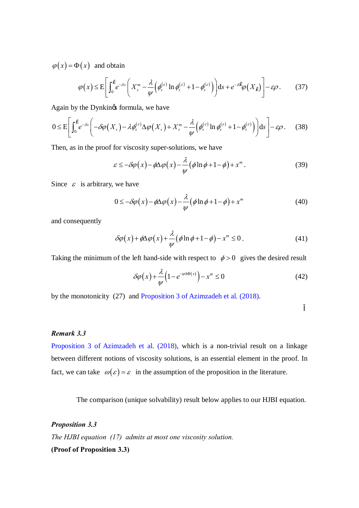$\varphi(x) = \Phi(x)$  and obtain

$$
\varphi(x) \leq E\left[\int_0^{\tilde{r}} e^{-\delta s} \left(X_s^m - \frac{\lambda}{\psi} \left(\phi_s^{(\varepsilon)} \ln \phi_s^{(\varepsilon)} + 1 - \phi_s^{(\varepsilon)}\right)\right) ds + e^{-\delta t} \varphi(X_t)\right] - \varepsilon \rho. \tag{37}
$$

Again by the Dynkings formula, we have

$$
0 \leq E\left[\int_0^{\tilde{r}} e^{-\delta s} \left(-\delta \varphi(X_s) - \lambda \phi_s^{(\varepsilon)} \Delta \varphi(X_s) + X_s^m - \frac{\lambda}{\psi} \left(\phi_s^{(\varepsilon)} \ln \phi_s^{(\varepsilon)} + 1 - \phi_s^{(\varepsilon)}\right)\right) ds\right] - \varepsilon \rho. \tag{38}
$$

Then, as in the proof for viscosity super-solutions, we have

$$
\varepsilon \le -\delta \varphi(x) - \phi \Delta \varphi(x) - \frac{\lambda}{\psi} \left( \phi \ln \phi + 1 - \phi \right) + x^m. \tag{39}
$$

Since  $\varepsilon$  is arbitrary, we have

$$
0 \le -\delta\varphi(x) - \phi\Delta\varphi(x) - \frac{\lambda}{\psi}(\phi\ln\phi + 1 - \phi) + x^m \tag{40}
$$

and consequently

$$
\delta\varphi(x) + \phi \Delta\varphi(x) + \frac{\lambda}{\psi} \left( \phi \ln \phi + 1 - \phi \right) - x^m \le 0. \tag{41}
$$

Taking the minimum of the left hand-side with respect to  $\phi > 0$  gives the desired result

$$
\delta\varphi(x) + \frac{\lambda}{\psi} \left( 1 - e^{-\psi \Delta \Phi(x)} \right) - x^m \le 0 \tag{42}
$$

by the monotonicity (27) and Proposition 3 of Azimzadeh et al. (2018).

# *Remark 3.3*

Proposition 3 of Azimzadeh et al. (2018), which is a non-trivial result on a linkage between different notions of viscosity solutions, is an essential element in the proof. In fact, we can take  $\omega(\varepsilon) = \varepsilon$  in the assumption of the proposition in the literature.

The comparison (unique solvability) result below applies to our HJBI equation.

*Proposition 3.3 The HJBI equation (17) admits at most one viscosity solution.* **(Proof of Proposition 3.3)**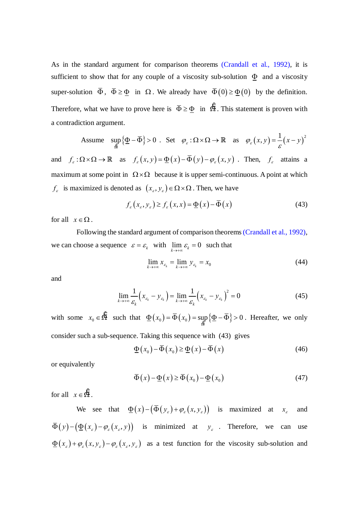As in the standard argument for comparison theorems (Crandall et al., 1992), it is sufficient to show that for any couple of a viscosity sub-solution  $\Phi$  and a viscosity super-solution  $\overline{\Phi}$ ,  $\overline{\Phi} \ge \Phi$  in  $\Omega$ . We already have  $\overline{\Phi}(0) \ge \Phi(0)$  by the definition. Therefore, what we have to prove here is  $\overline{\Phi} \ge \Phi$  in  $\Omega$ . This statement is proven with a contradiction argument.

Assume 
$$
\sup_{\Omega} {\{\underline{\Phi} - \overline{\Phi}\}} > 0
$$
. Set  $\varphi_{\varepsilon} : \Omega \times \Omega \to \mathbb{R}$  as  $\varphi_{\varepsilon}(x, y) = \frac{1}{\varepsilon} (x - y)^2$ 

and  $f_{\varepsilon} : \Omega \times \Omega \to \mathbb{R}$  as  $f_{\varepsilon}(x, y) = \Phi(x) - \overline{\Phi}(y) - \varphi_{\varepsilon}(x, y)$ . Then,  $f_{\varepsilon}$  attains a maximum at some point in  $\Omega \times \Omega$  because it is upper semi-continuous. A point at which  $f_{\varepsilon}$  is maximized is denoted as  $(x_{\varepsilon}, y_{\varepsilon}) \in \Omega \times \Omega$ . Then, we have

$$
f_{\varepsilon}(x_{\varepsilon}, y_{\varepsilon}) \ge f_{\varepsilon}(x, x) = \underline{\Phi}(x) - \overline{\Phi}(x)
$$
 (43)

for all  $x \in \Omega$ .

Following the standard argument of comparison theorems (Crandall et al., 1992), we can choose a sequence  $\varepsilon = \varepsilon_k$  with  $\lim_{k \to +\infty} \varepsilon_k = 0$  such that

$$
\lim_{k \to +\infty} x_{\varepsilon_k} = \lim_{k \to +\infty} y_{\varepsilon_k} = x_0 \tag{44}
$$

and

$$
\lim_{k \to +\infty} \frac{1}{\varepsilon_k} \left( x_{\varepsilon_k} - y_{\varepsilon_k} \right) = \lim_{k \to +\infty} \frac{1}{\varepsilon_k} \left( x_{\varepsilon_k} - y_{\varepsilon_k} \right)^2 = 0 \tag{45}
$$

with some  $x_0 \in \Omega$  such that  $\underline{\Phi}(x_0) = \overline{\Phi}(x_0) = \sup_{\Omega} {\{\underline{\Phi} - \overline{\Phi}\}} > 0$ ŠΪ  $\Phi(x_0) = \overline{\Phi}(x_0) = \sup\{\Phi - \overline{\Phi}\} > 0$ . Hereafter, we only consider such a sub-sequence. Taking this sequence with (43) gives

$$
\underline{\Phi}\left(x_0\right) - \overline{\Phi}\left(x_0\right) \ge \underline{\Phi}\left(x\right) - \overline{\Phi}\left(x\right) \tag{46}
$$

or equivalently

$$
\overline{\Phi}(x) - \underline{\Phi}(x) \ge \overline{\Phi}(x_0) - \underline{\Phi}(x_0)
$$
\n(47)

for all  $x \in \Omega$ .

We see that  $\Phi(x) - (\bar{\Phi}(y_\varepsilon) + \varphi_\varepsilon(x, y_\varepsilon))$  is maximized at  $x_\varepsilon$  and  $\overline{\Phi}(y) - (\underline{\Phi}(x_{\varepsilon}) - \varphi_{\varepsilon}(x_{\varepsilon}, y))$  is minimized at  $y_{\varepsilon}$ . Therefore, we can use  $\Phi(x_{\varepsilon}) + \varphi_{\varepsilon}(x, y_{\varepsilon}) - \varphi_{\varepsilon}(x_{\varepsilon}, y_{\varepsilon})$  as a test function for the viscosity sub-solution and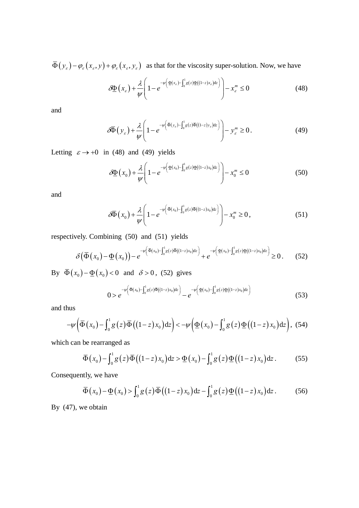$\overline{\Phi}(y_{\varepsilon}) - \varphi_{\varepsilon}(x_{\varepsilon}, y) + \varphi_{\varepsilon}(x_{\varepsilon}, y_{\varepsilon})$  as that for the viscosity super-solution. Now, we have

$$
\delta \underline{\Phi}\left(x_{\varepsilon}\right) + \frac{\lambda}{\psi} \left(1 - e^{-\psi\left(\underline{\Phi}\left(x_{\varepsilon}\right) - \int_0^1 g(z) \underline{\Phi}\left((1-z)x_{\varepsilon}\right) dz\right)}\right) - x_{\varepsilon}^m \le 0 \tag{48}
$$

and

$$
\delta \overline{\Phi}(y_{\varepsilon}) + \frac{\lambda}{\psi} \left( 1 - e^{-\psi \left( \overline{\Phi}(y_{\varepsilon}) - \int_0^1 g(z) \overline{\Phi}((1-z)y_{\varepsilon}) dz \right)} \right) - y_{\varepsilon}^m \ge 0. \tag{49}
$$

Letting  $\varepsilon \to +0$  in (48) and (49) yields

$$
\delta \underline{\Phi}(x_0) + \frac{\lambda}{\psi} \left( 1 - e^{-\psi \left( \underline{\Phi}(x_0) - \int_0^1 g(z) \underline{\Phi}((1-z)x_0) dz \right)} \right) - x_0^m \le 0 \tag{50}
$$

and

$$
\delta\overline{\Phi}\left(x_0\right) + \frac{\lambda}{\psi} \left(1 - e^{-\psi\left(\overline{\Phi}\left(x_0\right) - \int_0^1 g(z)\overline{\Phi}\left((1-z)x_0\right)dz\right)}\right) - x_0^m \ge 0, \tag{51}
$$

respectively. Combining (50) and (51) yields

$$
\delta(\bar{\Phi}(x_0) - \underline{\Phi}(x_0)) - e^{-\psi(\bar{\Phi}(x_0) - \int_0^1 g(z)\bar{\Phi}((1-z)x_0)dz)} + e^{-\psi(\underline{\Phi}(x_0) - \int_0^1 g(z)\underline{\Phi}((1-z)x_0)dz)} \ge 0.
$$
 (52)

By  $\overline{\Phi}(x_0) - \underline{\Phi}(x_0) < 0$  and  $\delta > 0$ , (52) gives

$$
0 > e^{-\psi\left(\overline{\Phi}(x_0) - \int_0^1 g(z)\overline{\Phi}((1-z)x_0)dz\right)} - e^{-\psi\left(\Phi(x_0) - \int_0^1 g(z)\Phi((1-z)x_0)dz\right)}
$$
(53)

and thus

$$
-\psi\left(\overline{\Phi}\left(x_0\right)-\int_0^1 g\left(z\right)\overline{\Phi}\left(\left(1-z\right)x_0\right)dz\right)<-\psi\left(\underline{\Phi}\left(x_0\right)-\int_0^1 g\left(z\right)\underline{\Phi}\left(\left(1-z\right)x_0\right)dz\right), (54)
$$

which can be rearranged as

$$
\overline{\Phi}(x_0) - \int_0^1 g(z) \overline{\Phi}((1-z)x_0) dz > \underline{\Phi}(x_0) - \int_0^1 g(z) \underline{\Phi}((1-z)x_0) dz.
$$
 (55)

Consequently, we have

$$
\overline{\Phi}(x_0) - \underline{\Phi}(x_0) > \int_0^1 g(z) \overline{\Phi}((1-z)x_0) dz - \int_0^1 g(z) \underline{\Phi}((1-z)x_0) dz.
$$
 (56)

By  $(47)$ , we obtain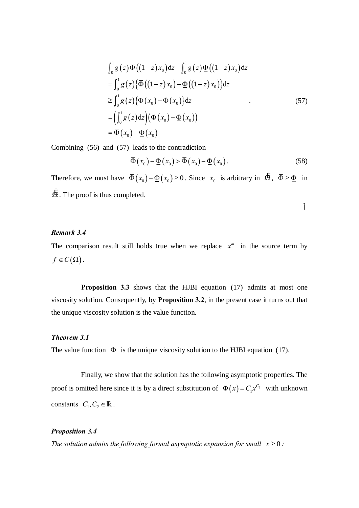$$
\int_0^1 g(z) \overline{\Phi} \left( (1-z)x_0 \right) dz - \int_0^1 g(z) \underline{\Phi} \left( (1-z)x_0 \right) dz
$$
  
\n
$$
= \int_0^1 g(z) \{ \overline{\Phi} \left( (1-z)x_0 \right) - \underline{\Phi} \left( (1-z)x_0 \right) \} dz
$$
  
\n
$$
\geq \int_0^1 g(z) \{ \overline{\Phi} \left( x_0 \right) - \underline{\Phi} \left( x_0 \right) \} dz
$$
  
\n
$$
= \left( \int_0^1 g(z) dz \right) \left( \overline{\Phi} \left( x_0 \right) - \underline{\Phi} \left( x_0 \right) \right)
$$
  
\n
$$
= \overline{\Phi} \left( x_0 \right) - \underline{\Phi} \left( x_0 \right)
$$
  
\n(57)

Combining (56) and (57) leads to the contradiction

$$
\overline{\Phi}(x_0) - \underline{\Phi}(x_0) > \overline{\Phi}(x_0) - \underline{\Phi}(x_0).
$$
 (58)

Therefore, we must have  $\overline{\Phi}(x_0) - \underline{\Phi}(x_0) \ge 0$ . Since  $x_0$  is arbitrary in  $\overleftrightarrow{\Omega}$ ,  $\overline{\Phi} \ge \underline{\Phi}$  in  $\ddot{\Omega}$ . The proof is thus completed.

# Remark 3.4

The comparison result still holds true when we replace  $x^m$  in the source term by  $f\in C(\Omega)$ .

**Proposition 3.3** shows that the HJBI equation (17) admits at most one viscosity solution. Consequently, by Proposition 3.2, in the present case it turns out that the unique viscosity solution is the value function.

#### Theorem 3.1

The value function  $\Phi$  is the unique viscosity solution to the HJBI equation (17).

Finally, we show that the solution has the following asymptotic properties. The proof is omitted here since it is by a direct substitution of  $\Phi(x) = C_1 x^{C_2}$  with unknown constants  $C_1, C_2 \in \mathbb{R}$ .

# **Proposition 3.4**

The solution admits the following formal asymptotic expansion for small  $x \ge 0$ :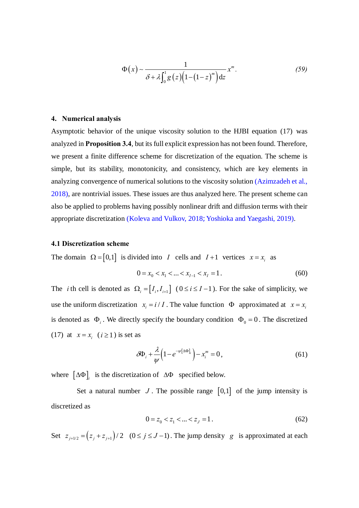$$
\Phi(x) \sim \frac{1}{\delta + \lambda \int_0^1 g(z) \left(1 - \left(1 - z\right)^m\right) dz} x^m.
$$
\n(59)

#### **4. Numerical analysis**

Asymptotic behavior of the unique viscosity solution to the HJBI equation (17) was analyzed in **Proposition 3.4**, but its full explicit expression has not been found. Therefore, we present a finite difference scheme for discretization of the equation. The scheme is simple, but its stability, monotonicity, and consistency, which are key elements in analyzing convergence of numerical solutions to the viscosity solution (Azimzadeh et al., 2018), are nontrivial issues. These issues are thus analyzed here. The present scheme can also be applied to problems having possibly nonlinear drift and diffusion terms with their appropriate discretization (Koleva and Vulkov, 2018=Yoshioka and Yaegashi, 2019).

#### **4.1 Discretization scheme**

The domain  $\Omega = [0,1]$  is divided into *I* cells and *I*+1 vertices  $x = x_i$  as

$$
0 = x_0 < x_1 < \dots < x_{I-1} < x_I = 1. \tag{60}
$$

The *i* th cell is denoted as  $\Omega_i = [I_i, I_{i+1}]$  ( $0 \le i \le I-1$ ). For the sake of simplicity, we use the uniform discretization  $x_i = i / I$ . The value function  $\Phi$  approximated at  $x = x_i$ is denoted as  $\Phi_i$ . We directly specify the boundary condition  $\Phi_0 = 0$ . The discretized (17) at  $x = x_i$  ( $i \ge 1$ ) is set as

$$
\delta \Phi_i + \frac{\lambda}{\psi} \left( 1 - e^{-\psi[\Delta \Phi]_i} \right) - x_i^m = 0, \qquad (61)
$$

where  $\left[\Delta \Phi\right]_i$  is the discretization of  $\Delta \Phi$  specified below.

Set a natural number  $J$ . The possible range  $[0,1]$  of the jump intensity is discretized as

$$
0 = z_0 < z_1 < \dots < z_J = 1. \tag{62}
$$

Set  $z_{j+1/2} = (z_j + z_{j+1})/2$   $(0 \le j \le J-1)$ . The jump density *g* is approximated at each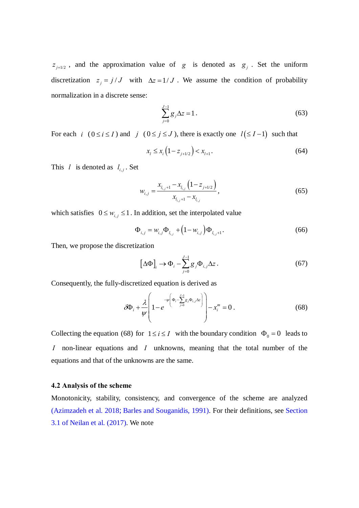$z_{i+1/2}$ , and the approximation value of *g* is denoted as  $g_i$ . Set the uniform discretization  $z_j = j / J$  with  $\Delta z = 1 / J$ . We assume the condition of probability normalization in a discrete sense:

$$
\sum_{j=0}^{J-1} g_j \Delta z = 1.
$$
\n(63)

For each *i*  $(0 \le i \le I)$  and *j*  $(0 \le j \le J)$ , there is exactly one  $l(\le I-1)$  such that

$$
x_l \le x_i \left(1 - z_{j+1/2}\right) < x_{l+1}.\tag{64}
$$

This *l* is denoted as  $l_{i,j}$ . Set

$$
w_{i,j} = \frac{x_{l_{i,j}+1} - x_{l_{i,j}} \left(1 - z_{j+1/2}\right)}{x_{l_{i,j}+1} - x_{l_{i,j}}},
$$
\n(65)

which satisfies  $0 \leq w_{i,j} \leq 1$ . In addition, set the interpolated value

$$
\Phi_{i,j} = w_{i,j} \Phi_{l_{i,j}} + (1 - w_{i,j}) \Phi_{l_{i,j}+1}.
$$
\n(66)

Then, we propose the discretization

$$
\left[\Delta\Phi\right]_i \to \Phi_i - \sum_{j=0}^{J-1} g_j \Phi_{i,j} \Delta z \,. \tag{67}
$$

Consequently, the fully-discretized equation is derived as

$$
\delta \Phi_i + \frac{\lambda}{\psi} \left( 1 - e^{-\psi \left( \Phi_i - \sum_{j=0}^{J-1} g_j \Phi_{i,j} \Delta z \right)} \right) - x_i^m = 0 \,. \tag{68}
$$

Collecting the equation (68) for  $1 \le i \le I$  with the boundary condition  $\Phi_0 = 0$  leads to *I* non-linear equations and *I* unknowns, meaning that the total number of the equations and that of the unknowns are the same.

#### **4.2 Analysis of the scheme**

Monotonicity, stability, consistency, and convergence of the scheme are analyzed (Azimzadeh et al. 2018=Barles and Souganidis, 1991). For their definitions, see Section 3.1 of Neilan et al. (2017). We note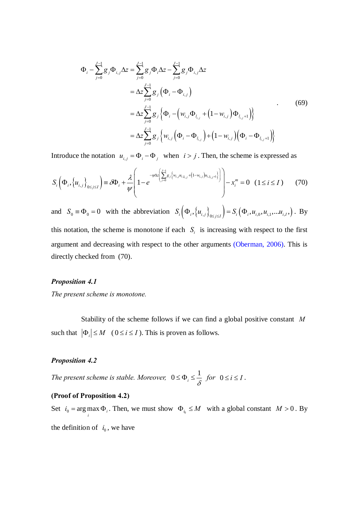$$
\Phi_{i} - \sum_{j=0}^{J-1} g_{j} \Phi_{i,j} \Delta z = \sum_{j=0}^{J-1} g_{j} \Phi_{i} \Delta z - \sum_{j=0}^{J-1} g_{j} \Phi_{i,j} \Delta z \n= \Delta z \sum_{j=0}^{J-1} g_{j} (\Phi_{i} - \Phi_{i,j}) \n= \Delta z \sum_{j=0}^{J-1} g_{j} {\Phi_{i} - (\mathbf{w}_{i,j} \Phi_{l_{i,j}} + (1 - \mathbf{w}_{i,j}) \Phi_{l_{i,j+1}})} \n= \Delta z \sum_{j=0}^{J-1} g_{j} {\mathbf{w}_{i,j} (\Phi_{i} - \Phi_{l_{i,j}}) + (1 - \mathbf{w}_{i,j}) (\Phi_{i} - \Phi_{l_{i,j+1}})}
$$
\n(69)

Introduce the notation  $u_{i,j} = \Phi_i - \Phi_j$  when  $i > j$ . Then, the scheme is expressed as

$$
S_i\left(\Phi_i, \{u_{i,j}\}_{0\leq j\leq I}\right) \equiv \partial\Phi_i + \frac{\lambda}{\psi} \left(1 - e^{-\psi \Delta z \left(\sum_{j=0}^{J-1} g_j \left\{w_{i,j} u_{i,j,j} + (1 - w_{i,j}) u_{i,j,j+1}\right\}\right)}\right) - x_i^m = 0 \quad (1 \leq i \leq I)
$$
 (70)

and  $S_0 \equiv \Phi_0 = 0$  with the abbreviation  $S_i(\Phi_i, \{u_{i,j}\}_{0 \leq j \leq I}) = S_i(\Phi_i, u_{i,0}, u_{i,1}, \dots, u_{i,I})$ . By this notation, the scheme is monotone if each  $S_i$  is increasing with respect to the first argument and decreasing with respect to the other arguments (Oberman, 2006). This is directly checked from (70).

#### **Proposition 4.1**

The present scheme is monotone.

Stability of the scheme follows if we can find a global positive constant  $M$ such that  $|\Phi_i| \leq M$  ( $0 \leq i \leq I$ ). This is proven as follows.

# **Proposition 4.2**

The present scheme is stable. Moreover,  $0 \le \Phi_i \le \frac{1}{\delta}$  for  $0 \le i \le I$ .

# (Proof of Proposition 4.2)

Set  $i_0$  = arg max  $\Phi_i$ . Then, we must show  $\Phi_{i_0} \leq M$  with a global constant  $M > 0$ . By the definition of  $i_0$ , we have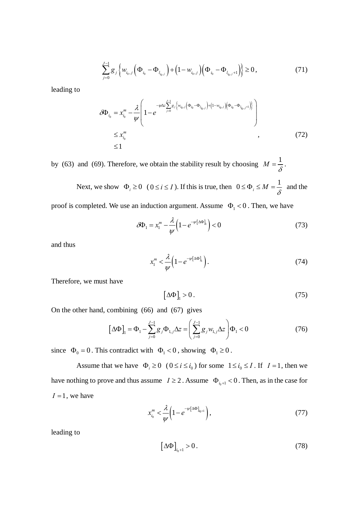$$
\sum_{j=0}^{J-1} g_j \left\{ w_{i_0,j} \left( \Phi_{i_0} - \Phi_{l_{i_0,j}} \right) + \left( 1 - w_{i_0,j} \right) \left( \Phi_{i_0} - \Phi_{l_{i_0,j}+1} \right) \right\} \ge 0, \tag{71}
$$

leading to

$$
\delta \Phi_{i_0} = x_{i_0}^m - \frac{\lambda}{\psi} \left( 1 - e^{-\psi \Delta z \sum_{j=0}^{J-1} g_j \left\{ w_{i_0,j} \left( \Phi_{i_0} - \Phi_{i_0,j} \right) + \left( 1 - w_{i_0,j} \right) \left( \Phi_{i_0} - \Phi_{i_0,j+1} \right) \right\}} \right) \n\leq x_{i_0}^m \n\leq 1
$$
\n(72)

by (63) and (69). Therefore, we obtain the stability result by choosing  $M = \frac{1}{\delta}$ .

Next, we show  $\Phi_i \ge 0$   $(0 \le i \le I)$ . If this is true, then  $0 \le \Phi_i \le M = \frac{1}{\delta}$  and the

proof is completed. We use an induction argument. Assume  $\Phi_1 < 0$ . Then, we have

$$
\delta \Phi_1 = x_1^m - \frac{\lambda}{\psi} \left( 1 - e^{-\psi \left[ \Delta \Phi \right]_1} \right) < 0 \tag{73}
$$

and thus

$$
x_1^m < \frac{\lambda}{\psi} \left( 1 - e^{-\psi[\Delta \Phi]_1} \right).
$$
 (74)

Therefore, we must have

$$
\left[\Delta\Phi\right]_1 > 0. \tag{75}
$$

On the other hand, combining (66) and (67) gives

$$
\left[\Delta\Phi\right]_1 = \Phi_1 - \sum_{j=0}^{J-1} g_j \Phi_{1,j} \Delta z = \left(\sum_{j=0}^{J-1} g_j w_{1,j} \Delta z\right) \Phi_1 < 0 \tag{76}
$$

since  $\Phi_0 = 0$ . This contradict with  $\Phi_1 < 0$ , showing  $\Phi_1 \ge 0$ .

Assume that we have  $\Phi_i \ge 0$  ( $0 \le i \le i_0$ ) for some  $1 \le i_0 \le I$ . If  $I = 1$ , then we have nothing to prove and thus assume  $I \ge 2$ . Assume  $\Phi_{i} = \Phi_{i} - 1$  Then, as in the case for  $I = 1$ , we have

$$
x_{i_0}^m < \frac{\lambda}{\psi} \left( 1 - e^{-\psi \left[ \Delta \Phi \right]_{i_0 + 1}} \right),\tag{77}
$$

leading to

$$
\left[\Delta\Phi\right]_{i_0+1} > 0. \tag{78}
$$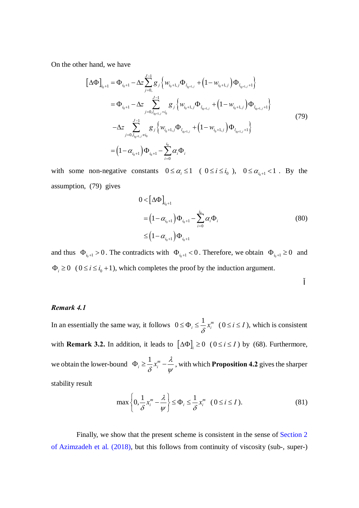On the other hand, we have

$$
\begin{split}\n\left[\Delta \Phi\right]_{i_{0}+1} &= \Phi_{i_{0}+1} - \Delta z \sum_{j=0,}^{J-1} g_{j} \left\{ w_{i_{0}+1,j} \Phi_{l_{i_{0}+1,j}} + \left( 1 - w_{i_{0}+1,j} \right) \Phi_{l_{i_{0}+1,j}+1} \right\} \\
&= \Phi_{i_{0}+1} - \Delta z \sum_{j=0, l_{i_{0}+1,j}=i_{0}}^{J-1} g_{j} \left\{ w_{i_{0}+1,j} \Phi_{l_{i_{0}+1,j}} + \left( 1 - w_{i_{0}+1,j} \right) \Phi_{l_{i_{0}+1,j}+1} \right\} \\
&\quad - \Delta z \sum_{j=0, l_{i_{0}+1,j} \neq i_{0}}^{J-1} g_{j} \left\{ w_{i_{0}+1,j} \Phi_{l_{i_{0}+1,j}} + \left( 1 - w_{i_{0}+1,j} \right) \Phi_{l_{i_{0}+1,j}+1} \right\} \\
&= \left( 1 - \alpha_{i_{0}+1} \right) \Phi_{i_{0}+1} - \sum_{i=0}^{i_{0}} \alpha_{i} \Phi_{i}\n\end{split}
$$
\n(79)

with some non-negative constants  $0 \le \alpha_i \le 1$  ( $0 \le i \le i_0$ ),  $0 \le \alpha_{i_0+1} < 1$ . By the assumption, (79) gives

$$
0 < [\Delta \Phi]_{i_0+1}
$$
  
=  $(1 - \alpha_{i_0+1}) \Phi_{i_0+1} - \sum_{i=0}^{i_0} \alpha_i \Phi_i$   
 $\leq (1 - \alpha_{i_0+1}) \Phi_{i_0+1}$  (80)

and thus  $\Phi_{i_0+1} > 0$ . The contradicts with  $\Phi_{i_0+1} < 0$ . Therefore, we obtain  $\Phi_{i_0+1} \ge 0$  and  $\Phi_i \ge 0$  ( $0 \le i \le i_0 + 1$ ), which completes the proof by the induction argument.

### *Remark 4.1*

In an essentially the same way, it follows  $0 \le \Phi_i \le \frac{1}{\delta} x_i^m$   $(0 \le i \le I)$ , which is consistent with **Remark 3.2.** In addition, it leads to  $[\Delta \Phi]_i \ge 0$  ( $0 \le i \le I$ ) by (68). Furthermore, we obtain the lower-bound  $\Phi_i \geq \frac{1}{s} x_i^m - \frac{\lambda}{n}$  $\delta$  y  $\Phi_i \geq \frac{1}{2}x_i^m - \frac{\pi}{2}$ , with which **Proposition 4.2** gives the sharper stability result

$$
\max\left\{0,\frac{1}{\delta}x_i^m-\frac{\lambda}{\psi}\right\}\leq \Phi_i\leq \frac{1}{\delta}x_i^m \quad (0\leq i\leq I). \tag{81}
$$

Finally, we show that the present scheme is consistent in the sense of Section 2 of Azimzadeh et al. (2018), but this follows from continuity of viscosity (sub-, super-)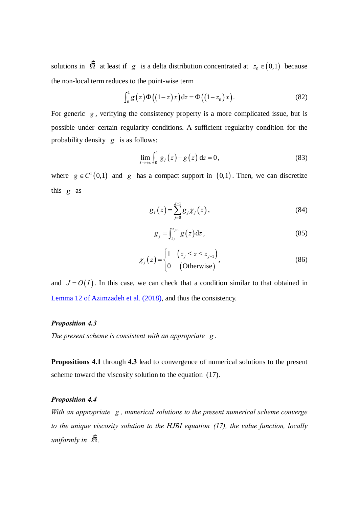solutions in  $\Omega$ <sup></sup> at least if *g* is a delta distribution concentrated at  $z_0 \in (0,1)$  because the non-local term reduces to the point-wise term

$$
\int_0^1 g(z) \Phi\big((1-z)x\big) dz = \Phi\big((1-z_0)x\big). \tag{82}
$$

For generic *g* , verifying the consistency property is a more complicated issue, but is possible under certain regularity conditions. A sufficient regularity condition for the probability density *g* is as follows:

$$
\lim_{l \to +\infty} \int_0^1 |g_l(z) - g(z)| dz = 0,
$$
\n(83)

where  $g \in C^1(0,1)$  and *g* has a compact support in  $(0,1)$ . Then, we can discretize this *g* as

$$
g_{I}(z) = \sum_{j=0}^{J-1} g_{j} \chi_{j}(z), \qquad (84)
$$

$$
g_j = \int_{z_j}^{z_{j+1}} g(z) dz,
$$
 (85)

$$
\chi_j(z) = \begin{cases} 1 & \left(z_j \le z \le z_{j+1}\right) \\ 0 & \text{(Otherwise}\right) \end{cases} \tag{86}
$$

and  $J = O(I)$ . In this case, we can check that a condition similar to that obtained in Lemma 12 of Azimzadeh et al. (2018), and thus the consistency.

# *Proposition 4.3*

*The present scheme is consistent with an appropriate g .*

**Propositions 4.1** through **4.3** lead to convergence of numerical solutions to the present scheme toward the viscosity solution to the equation (17).

# *Proposition 4.4*

*With an appropriate g , numerical solutions to the present numerical scheme converge to the unique viscosity solution to the HJBI equation (17), the value function, locally*   $uniformly$  *in*  $\Omega$ *.*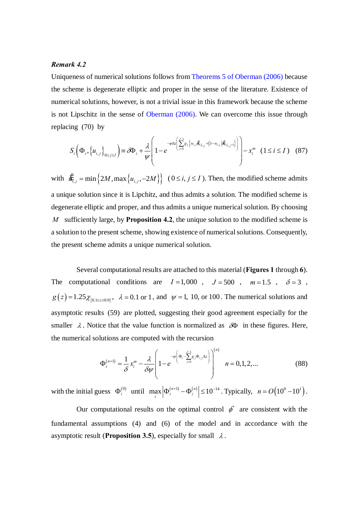#### *Remark 4.2*

Uniqueness of numerical solutions follows from Theorems 5 of Oberman (2006) because the scheme is degenerate elliptic and proper in the sense of the literature. Existence of numerical solutions, however, is not a trivial issue in this framework because the scheme is not Lipschitz in the sense of Oberman (2006). We can overcome this issue through replacing (70) by

$$
S_i\left(\Phi_i, \left\{u_{i,j}\right\}_{0\leq j\leq I}\right) \equiv \partial\Phi_i + \frac{\lambda}{\psi} \left(1 - e^{-\psi \Delta z \left(\sum_{j=0}^{J-1} g_j \left\{w_{i,j} \ddot{u}_{i,j+1} + (1-w_{i,j}) \ddot{u}_{i,j+1}\right\}\right)}\right) - x_i^m \quad (1 \leq i \leq I) \quad (87)
$$

with  $\ddot{u}_{i,j} = \min \left\{ 2M, \max \left\{ u_{i,j}, -2M \right\} \right\}$  ( $0 \le i, j \le I$ ). Then, the modified scheme admits a unique solution since it is Lipchitz, and thus admits a solution. The modified scheme is degenerate elliptic and proper, and thus admits a unique numerical solution. By choosing *M* sufficiently large, by **Proposition 4.2**, the unique solution to the modified scheme is a solution to the present scheme, showing existence of numerical solutions. Consequently, the present scheme admits a unique numerical solution.

Several computational results are attached to this material (**Figures 1** through **6**). The computational conditions are  $I=1,000$ ,  $J=500$ ,  $m=1.5$ ,  $\delta=3$ ,  $g(z) = 1.25 \chi_{0.1 \le z \le 0.9}$ ,  $\lambda = 0.1$  or 1, and  $\psi = 1$ , 10, or 100. The numerical solutions and asymptotic results (59) are plotted, suggesting their good agreement especially for the smaller  $\lambda$ . Notice that the value function is normalized as  $\delta\Phi$  in these figures. Here, the numerical solutions are computed with the recursion

$$
\Phi_i^{(n+1)} = \frac{1}{\delta} x_i^m - \frac{\lambda}{\delta \psi} \left( 1 - e^{-\psi \left( \Phi_i - \sum_{j=0}^{j-1} g_j \Phi_{i,j} \Delta z \right)} \right)^{(n)} \quad n = 0, 1, 2, ... \tag{88}
$$

with the initial guess  $\Phi_i^{(0)}$  until  $\max_i |\Phi_i^{(n+1)} - \Phi_i^{(n)}| \le 10^{-14}$ . Typically,  $n = O(10^0 - 10^1)$ .

Our computational results on the optimal control  $\phi^*$  are consistent with the fundamental assumptions (4) and (6) of the model and in accordance with the asymptotic result (**Proposition 3.5**), especially for small  $\lambda$ .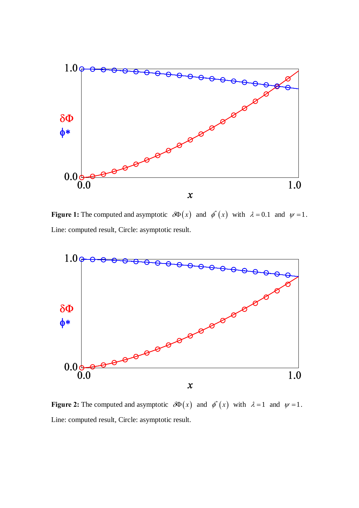

**Figure 1:** The computed and asymptotic  $\partial \Phi(x)$  and  $\phi^*(x)$  with  $\lambda = 0.1$  and  $\psi = 1$ . Line: computed result, Circle: asymptotic result.



**Figure 2:** The computed and asymptotic  $\partial \Phi(x)$  and  $\phi^*(x)$  with  $\lambda = 1$  and  $\psi = 1$ . Line: computed result, Circle: asymptotic result.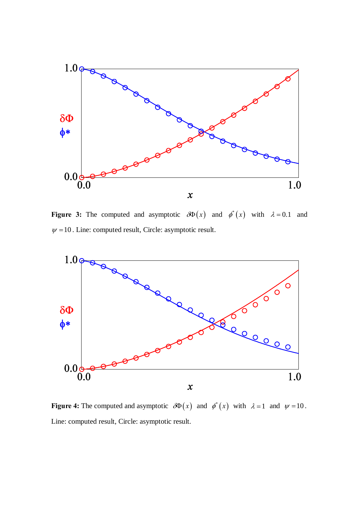

**Figure 3:** The computed and asymptotic  $\partial \Phi(x)$  and  $\phi^*(x)$  with  $\lambda = 0.1$  and  $\psi$  =10. Line: computed result, Circle: asymptotic result.



**Figure 4:** The computed and asymptotic  $\partial \Phi(x)$  and  $\phi^*(x)$  with  $\lambda = 1$  and  $\psi = 10$ . Line: computed result, Circle: asymptotic result.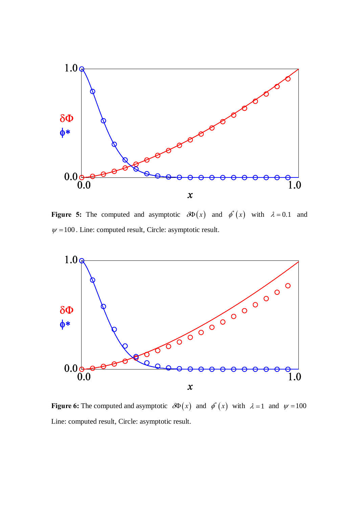

**Figure 5:** The computed and asymptotic  $\partial \Phi(x)$  and  $\phi^*(x)$  with  $\lambda = 0.1$  and  $\psi$  =100. Line: computed result, Circle: asymptotic result.



**Figure 6:** The computed and asymptotic  $\partial \Phi(x)$  and  $\phi^*(x)$  with  $\lambda = 1$  and  $\psi = 100$ Line: computed result, Circle: asymptotic result.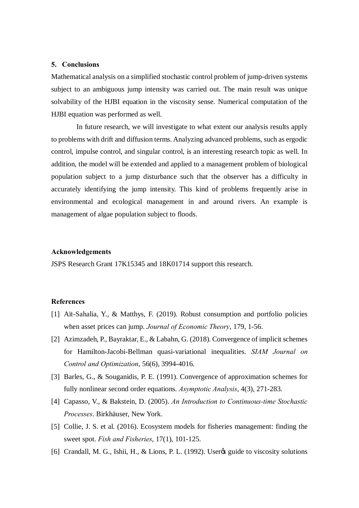#### **5. Conclusions**

Mathematical analysis on a simplified stochastic control problem of jump-driven systems subject to an ambiguous jump intensity was carried out. The main result was unique solvability of the HJBI equation in the viscosity sense. Numerical computation of the HJBI equation was performed as well.

In future research, we will investigate to what extent our analysis results apply to problems with drift and diffusion terms. Analyzing advanced problems, such as ergodic control, impulse control, and singular control, is an interesting research topic as well. In addition, the model will be extended and applied to a management problem of biological population subject to a jump disturbance such that the observer has a difficulty in accurately identifying the jump intensity. This kind of problems frequently arise in environmental and ecological management in and around rivers. An example is management of algae population subject to floods.

#### **Acknowledgements**

JSPS Research Grant 17K15345 and 18K01714 support this research.

# **References**

- [1] Aït-Sahalia, Y., & Matthys, F. (2019). Robust consumption and portfolio policies when asset prices can jump. *Journal of Economic Theory*, 179, 1-56.
- [2] Azimzadeh, P., Bayraktar, E., & Labahn, G. (2018). Convergence of implicit schemes for Hamilton-Jacobi-Bellman quasi-variational inequalities. *SIAM Journal on Control and Optimization*, 56(6), 3994-4016.
- [3] Barles, G., & Souganidis, P. E. (1991). Convergence of approximation schemes for fully nonlinear second order equations. *Asymptotic Analysis*, 4(3), 271-283.
- [4] Capasso, V., & Bakstein, D. (2005). *An Introduction to Continuous-time Stochastic Processes*. Birkhäuser, New York.
- [5] Collie, J. S. et al. (2016). Ecosystem models for fisheries management: finding the sweet spot. *Fish and Fisheries*, 17(1), 101-125.
- [6] Crandall, M. G., Ishii, H., & Lions, P. L. (1992). User of guide to viscosity solutions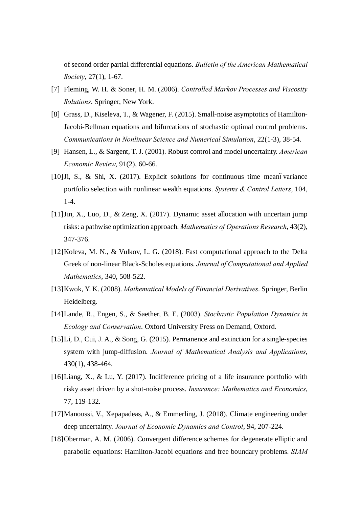of second order partial differential equations. *Bulletin of the American Mathematical Society*, 27(1), 1-67.

- [7] Fleming, W. H. & Soner, H. M. (2006). *Controlled Markov Processes and Viscosity Solutions*. Springer, New York.
- [8] Grass, D., Kiseleva, T., & Wagener, F. (2015). Small-noise asymptotics of Hamilton-Jacobi-Bellman equations and bifurcations of stochastic optimal control problems. *Communications in Nonlinear Science and Numerical Simulation*, 22(1-3), 38-54.
- [9] Hansen, L., & Sargent, T. J. (2001). Robust control and model uncertainty. *American Economic Review*, 91(2), 60-66.
- [10] Ji, S., & Shi, X. (2017). Explicit solutions for continuous time meanovariance portfolio selection with nonlinear wealth equations. *Systems & Control Letters*, 104, 1-4.
- [11]Jin, X., Luo, D., & Zeng, X. (2017). Dynamic asset allocation with uncertain jump risks: a pathwise optimization approach. *Mathematics of Operations Research*, 43(2), 347-376.
- [12]Koleva, M. N., & Vulkov, L. G. (2018). Fast computational approach to the Delta Greek of non-linear Black-Scholes equations. *Journal of Computational and Applied Mathematics*, 340, 508-522.
- [13]Kwok, Y. K. (2008). *Mathematical Models of Financial Derivatives*. Springer, Berlin Heidelberg.
- [14]Lande, R., Engen, S., & Saether, B. E. (2003). *Stochastic Population Dynamics in Ecology and Conservation*. Oxford University Press on Demand, Oxford.
- [15]Li, D., Cui, J. A., & Song, G. (2015). Permanence and extinction for a single-species system with jump-diffusion. *Journal of Mathematical Analysis and Applications*, 430(1), 438-464.
- [16] Liang, X., & Lu, Y. (2017). Indifference pricing of a life insurance portfolio with risky asset driven by a shot-noise process. *Insurance: Mathematics and Economics*, 77, 119-132.
- [17]Manoussi, V., Xepapadeas, A., & Emmerling, J. (2018). Climate engineering under deep uncertainty. *Journal of Economic Dynamics and Control*, 94, 207-224.
- [18]Oberman, A. M. (2006). Convergent difference schemes for degenerate elliptic and parabolic equations: Hamilton-Jacobi equations and free boundary problems. *SIAM*